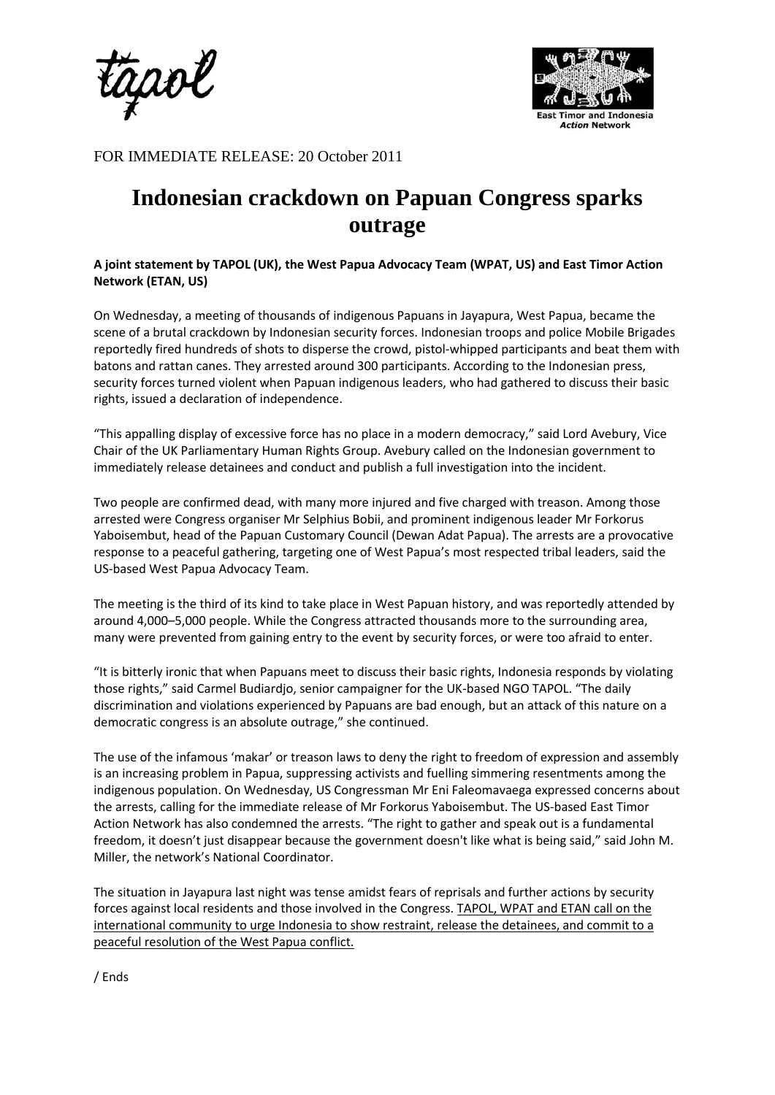



FOR IMMEDIATE RELEASE: 20 October 2011

# **Indonesian crackdown on Papuan Congress sparks outrage**

# **A joint statement by TAPOL (UK), the West Papua Advocacy Team (WPAT, US) and East Timor Action Network (ETAN, US)**

On Wednesday, a meeting of thousands of indigenous Papuans in Jayapura, West Papua, became the scene of a brutal crackdown by Indonesian security forces. Indonesian troops and police Mobile Brigades reportedly fired hundreds of shots to disperse the crowd, pistol-whipped participants and beat them with batons and rattan canes. They arrested around 300 participants. According to the Indonesian press, security forces turned violent when Papuan indigenous leaders, who had gathered to discuss their basic rights, issued a declaration of independence.

"This appalling display of excessive force has no place in a modern democracy," said Lord Avebury, Vice Chair of the UK Parliamentary Human Rights Group. Avebury called on the Indonesian government to immediately release detainees and conduct and publish a full investigation into the incident.

Two people are confirmed dead, with many more injured and five charged with treason. Among those arrested were Congress organiser Mr Selphius Bobii, and prominent indigenous leader Mr Forkorus Yaboisembut, head of the Papuan Customary Council (Dewan Adat Papua). The arrests are a provocative response to a peaceful gathering, targeting one of West Papua's most respected tribal leaders, said the US-based West Papua Advocacy Team.

The meeting is the third of its kind to take place in West Papuan history, and was reportedly attended by around 4,000–5,000 people. While the Congress attracted thousands more to the surrounding area, many were prevented from gaining entry to the event by security forces, or were too afraid to enter.

"It is bitterly ironic that when Papuans meet to discuss their basic rights, Indonesia responds by violating those rights," said Carmel Budiardjo, senior campaigner for the UK-based NGO TAPOL. "The daily discrimination and violations experienced by Papuans are bad enough, but an attack of this nature on a democratic congress is an absolute outrage," she continued.

The use of the infamous 'makar' or treason laws to deny the right to freedom of expression and assembly is an increasing problem in Papua, suppressing activists and fuelling simmering resentments among the indigenous population. On Wednesday, US Congressman Mr Eni Faleomavaega expressed concerns about the arrests, calling for the immediate release of Mr Forkorus Yaboisembut. The US-based East Timor Action Network has also condemned the arrests. "The right to gather and speak out is a fundamental freedom, it doesn't just disappear because the government doesn't like what is being said," said John M. Miller, the network's National Coordinator.

The situation in Jayapura last night was tense amidst fears of reprisals and further actions by security forces against local residents and those involved in the Congress. TAPOL, WPAT and ETAN call on the international community to urge Indonesia to show restraint, release the detainees, and commit to a peaceful resolution of the West Papua conflict.

/ Ends